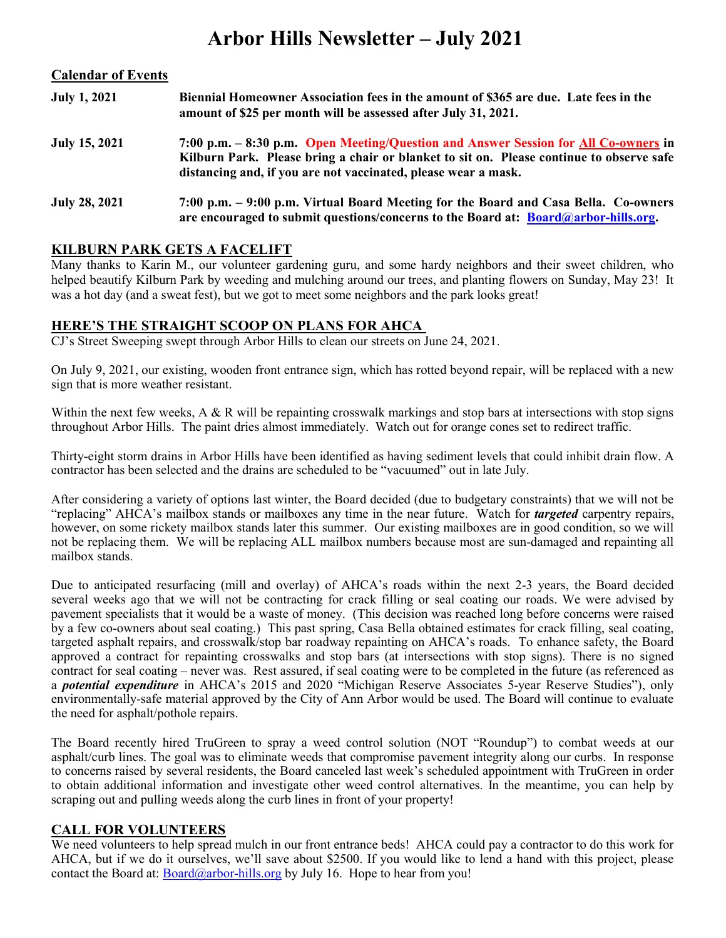## Arbor Hills Newsletter – July 2021

| <b>Calendar of Events</b> |                                                                                                                                                                                                                                                   |
|---------------------------|---------------------------------------------------------------------------------------------------------------------------------------------------------------------------------------------------------------------------------------------------|
| <b>July 1, 2021</b>       | Biennial Homeowner Association fees in the amount of \$365 are due. Late fees in the<br>amount of \$25 per month will be assessed after July 31, 2021.                                                                                            |
| July 15, 2021             | 7:00 p.m. – 8:30 p.m. Open Meeting/Question and Answer Session for All Co-owners in<br>Kilburn Park. Please bring a chair or blanket to sit on. Please continue to observe safe<br>distancing and, if you are not vaccinated, please wear a mask. |
| <b>July 28, 2021</b>      | 7:00 p.m. – 9:00 p.m. Virtual Board Meeting for the Board and Casa Bella. Co-owners<br>are encouraged to submit questions/concerns to the Board at: Board@arbor-hills.org.                                                                        |

### KILBURN PARK GETS A FACELIFT

Many thanks to Karin M., our volunteer gardening guru, and some hardy neighbors and their sweet children, who helped beautify Kilburn Park by weeding and mulching around our trees, and planting flowers on Sunday, May 23! It was a hot day (and a sweat fest), but we got to meet some neighbors and the park looks great!

#### HERE'S THE STRAIGHT SCOOP ON PLANS FOR AHCA

CJ's Street Sweeping swept through Arbor Hills to clean our streets on June 24, 2021.

On July 9, 2021, our existing, wooden front entrance sign, which has rotted beyond repair, will be replaced with a new sign that is more weather resistant.

Within the next few weeks, A & R will be repainting crosswalk markings and stop bars at intersections with stop signs throughout Arbor Hills. The paint dries almost immediately. Watch out for orange cones set to redirect traffic.

Thirty-eight storm drains in Arbor Hills have been identified as having sediment levels that could inhibit drain flow. A contractor has been selected and the drains are scheduled to be "vacuumed" out in late July.

After considering a variety of options last winter, the Board decided (due to budgetary constraints) that we will not be "replacing" AHCA's mailbox stands or mailboxes any time in the near future. Watch for *targeted* carpentry repairs, however, on some rickety mailbox stands later this summer. Our existing mailboxes are in good condition, so we will not be replacing them. We will be replacing ALL mailbox numbers because most are sun-damaged and repainting all mailbox stands.

Due to anticipated resurfacing (mill and overlay) of AHCA's roads within the next 2-3 years, the Board decided several weeks ago that we will not be contracting for crack filling or seal coating our roads. We were advised by pavement specialists that it would be a waste of money. (This decision was reached long before concerns were raised by a few co-owners about seal coating.) This past spring, Casa Bella obtained estimates for crack filling, seal coating, targeted asphalt repairs, and crosswalk/stop bar roadway repainting on AHCA's roads. To enhance safety, the Board approved a contract for repainting crosswalks and stop bars (at intersections with stop signs). There is no signed contract for seal coating – never was. Rest assured, if seal coating were to be completed in the future (as referenced as a *potential expenditure* in AHCA's 2015 and 2020 "Michigan Reserve Associates 5-year Reserve Studies"), only environmentally-safe material approved by the City of Ann Arbor would be used. The Board will continue to evaluate the need for asphalt/pothole repairs.

The Board recently hired TruGreen to spray a weed control solution (NOT "Roundup") to combat weeds at our asphalt/curb lines. The goal was to eliminate weeds that compromise pavement integrity along our curbs. In response to concerns raised by several residents, the Board canceled last week's scheduled appointment with TruGreen in order to obtain additional information and investigate other weed control alternatives. In the meantime, you can help by scraping out and pulling weeds along the curb lines in front of your property!

#### CALL FOR VOLUNTEERS

We need volunteers to help spread mulch in our front entrance beds! AHCA could pay a contractor to do this work for AHCA, but if we do it ourselves, we'll save about \$2500. If you would like to lend a hand with this project, please contact the Board at:  $\frac{\text{Board}(@arbor-hills.org)}{\text{by July 16}}$ . Hope to hear from you!